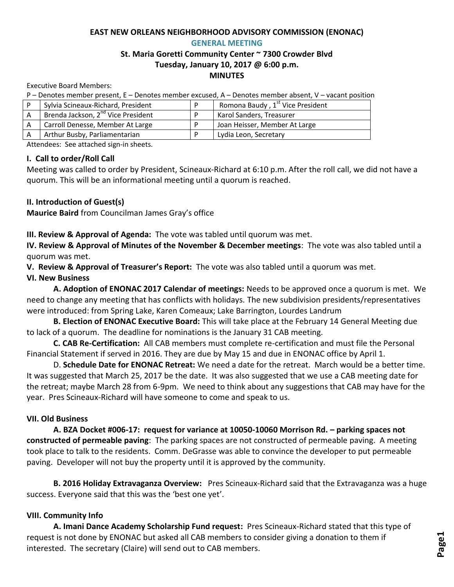#### **EAST NEW ORLEANS NEIGHBORHOOD ADVISORY COMMISSION (ENONAC) GENERAL MEETING**

# **St. Maria Goretti Community Center ~ 7300 Crowder Blvd Tuesday, January 10, 2017 @ 6:00 p.m. MINUTES**

Executive Board Members:

P – Denotes member present, E – Denotes member excused, A – Denotes member absent, V – vacant position

| Sylvia Scineaux-Richard, President             | Romona Baudy, 1 <sup>st</sup> Vice President |
|------------------------------------------------|----------------------------------------------|
| Brenda Jackson, 2 <sup>nd</sup> Vice President | Karol Sanders, Treasurer                     |
| Carroll Denesse, Member At Large               | Joan Heisser, Member At Large                |
| Arthur Busby, Parliamentarian                  | Lydia Leon, Secretary                        |

Attendees: See attached sign-in sheets.

#### **I. Call to order/Roll Call**

Meeting was called to order by President, Scineaux-Richard at 6:10 p.m. After the roll call, we did not have a quorum. This will be an informational meeting until a quorum is reached.

**II. Introduction of Guest(s)**

**Maurice Baird** from Councilman James Gray's office

**III. Review & Approval of Agenda:** The vote was tabled until quorum was met.

**IV. Review & Approval of Minutes of the November & December meetings**: The vote was also tabled until a quorum was met.

**V. Review & Approval of Treasurer's Report:** The vote was also tabled until a quorum was met.

# **VI. New Business**

**A. Adoption of ENONAC 2017 Calendar of meetings:** Needs to be approved once a quorum is met. We need to change any meeting that has conflicts with holidays. The new subdivision presidents/representatives were introduced: from Spring Lake, Karen Comeaux; Lake Barrington, Lourdes Landrum

**B. Election of ENONAC Executive Board:** This will take place at the February 14 General Meeting due to lack of a quorum. The deadline for nominations is the January 31 CAB meeting.

**C. CAB Re-Certification:** All CAB members must complete re-certification and must file the Personal Financial Statement if served in 2016. They are due by May 15 and due in ENONAC office by April 1.

D. **Schedule Date for ENONAC Retreat:** We need a date for the retreat. March would be a better time. It was suggested that March 25, 2017 be the date. It was also suggested that we use a CAB meeting date for the retreat; maybe March 28 from 6-9pm. We need to think about any suggestions that CAB may have for the year. Pres Scineaux-Richard will have someone to come and speak to us.

# **VII. Old Business**

**A. BZA Docket #006-17: request for variance at 10050-10060 Morrison Rd. – parking spaces not constructed of permeable paving**: The parking spaces are not constructed of permeable paving. A meeting took place to talk to the residents. Comm. DeGrasse was able to convince the developer to put permeable paving. Developer will not buy the property until it is approved by the community.

**B. 2016 Holiday Extravaganza Overview:** Pres Scineaux-Richard said that the Extravaganza was a huge success. Everyone said that this was the 'best one yet'.

# **VIII. Community Info**

**A. Imani Dance Academy Scholarship Fund request:** Pres Scineaux-Richard stated that this type of request is not done by ENONAC but asked all CAB members to consider giving a donation to them if interested. The secretary (Claire) will send out to CAB members.